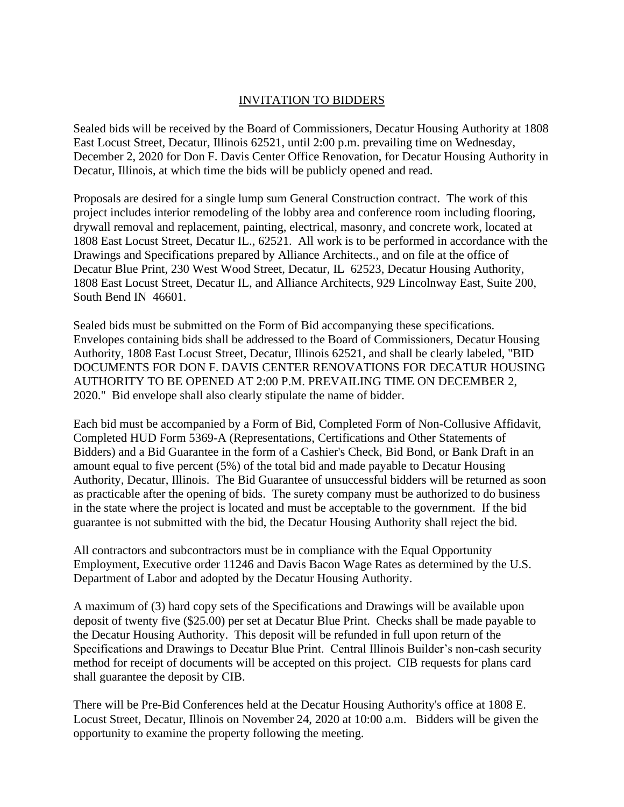## INVITATION TO BIDDERS

Sealed bids will be received by the Board of Commissioners, Decatur Housing Authority at 1808 East Locust Street, Decatur, Illinois 62521, until 2:00 p.m. prevailing time on Wednesday, December 2, 2020 for Don F. Davis Center Office Renovation, for Decatur Housing Authority in Decatur, Illinois, at which time the bids will be publicly opened and read.

Proposals are desired for a single lump sum General Construction contract. The work of this project includes interior remodeling of the lobby area and conference room including flooring, drywall removal and replacement, painting, electrical, masonry, and concrete work, located at 1808 East Locust Street, Decatur IL., 62521. All work is to be performed in accordance with the Drawings and Specifications prepared by Alliance Architects., and on file at the office of Decatur Blue Print, 230 West Wood Street, Decatur, IL 62523, Decatur Housing Authority, 1808 East Locust Street, Decatur IL, and Alliance Architects, 929 Lincolnway East, Suite 200, South Bend IN 46601.

Sealed bids must be submitted on the Form of Bid accompanying these specifications. Envelopes containing bids shall be addressed to the Board of Commissioners, Decatur Housing Authority, 1808 East Locust Street, Decatur, Illinois 62521, and shall be clearly labeled, "BID DOCUMENTS FOR DON F. DAVIS CENTER RENOVATIONS FOR DECATUR HOUSING AUTHORITY TO BE OPENED AT 2:00 P.M. PREVAILING TIME ON DECEMBER 2, 2020." Bid envelope shall also clearly stipulate the name of bidder.

Each bid must be accompanied by a Form of Bid, Completed Form of Non-Collusive Affidavit, Completed HUD Form 5369-A (Representations, Certifications and Other Statements of Bidders) and a Bid Guarantee in the form of a Cashier's Check, Bid Bond, or Bank Draft in an amount equal to five percent (5%) of the total bid and made payable to Decatur Housing Authority, Decatur, Illinois. The Bid Guarantee of unsuccessful bidders will be returned as soon as practicable after the opening of bids. The surety company must be authorized to do business in the state where the project is located and must be acceptable to the government. If the bid guarantee is not submitted with the bid, the Decatur Housing Authority shall reject the bid.

All contractors and subcontractors must be in compliance with the Equal Opportunity Employment, Executive order 11246 and Davis Bacon Wage Rates as determined by the U.S. Department of Labor and adopted by the Decatur Housing Authority.

A maximum of (3) hard copy sets of the Specifications and Drawings will be available upon deposit of twenty five (\$25.00) per set at Decatur Blue Print. Checks shall be made payable to the Decatur Housing Authority. This deposit will be refunded in full upon return of the Specifications and Drawings to Decatur Blue Print. Central Illinois Builder's non-cash security method for receipt of documents will be accepted on this project. CIB requests for plans card shall guarantee the deposit by CIB.

There will be Pre-Bid Conferences held at the Decatur Housing Authority's office at 1808 E. Locust Street, Decatur, Illinois on November 24, 2020 at 10:00 a.m. Bidders will be given the opportunity to examine the property following the meeting.